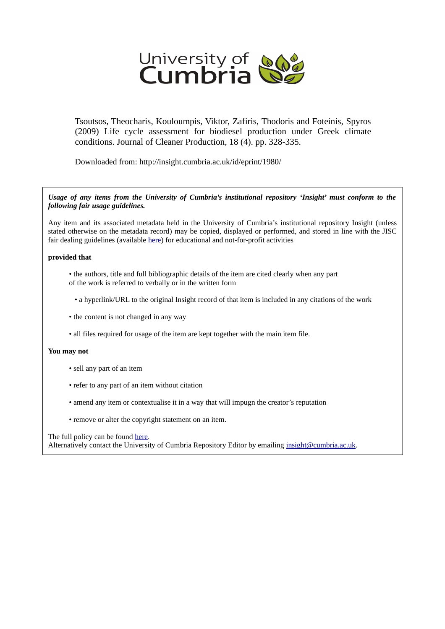

Tsoutsos, Theocharis, Kouloumpis, Viktor, Zafiris, Thodoris and Foteinis, Spyros (2009) Life cycle assessment for biodiesel production under Greek climate conditions. Journal of Cleaner Production, 18 (4). pp. 328-335.

Downloaded from: http://insight.cumbria.ac.uk/id/eprint/1980/

*Usage of any items from the University of Cumbria's institutional repository 'Insight' must conform to the following fair usage guidelines.*

Any item and its associated metadata held in the University of Cumbria's institutional repository Insight (unless stated otherwise on the metadata record) may be copied, displayed or performed, and stored in line with the JISC fair dealing guidelines (available [here\)](http://www.ukoln.ac.uk/services/elib/papers/pa/fair/) for educational and not-for-profit activities

# **provided that**

- the authors, title and full bibliographic details of the item are cited clearly when any part of the work is referred to verbally or in the written form
	- a hyperlink/URL to the original Insight record of that item is included in any citations of the work
- the content is not changed in any way
- all files required for usage of the item are kept together with the main item file.

# **You may not**

- sell any part of an item
- refer to any part of an item without citation
- amend any item or contextualise it in a way that will impugn the creator's reputation
- remove or alter the copyright statement on an item.

# The full policy can be found [here.](http://insight.cumbria.ac.uk/legal.html#section5)

Alternatively contact the University of Cumbria Repository Editor by emailing [insight@cumbria.ac.uk.](mailto:insight@cumbria.ac.uk)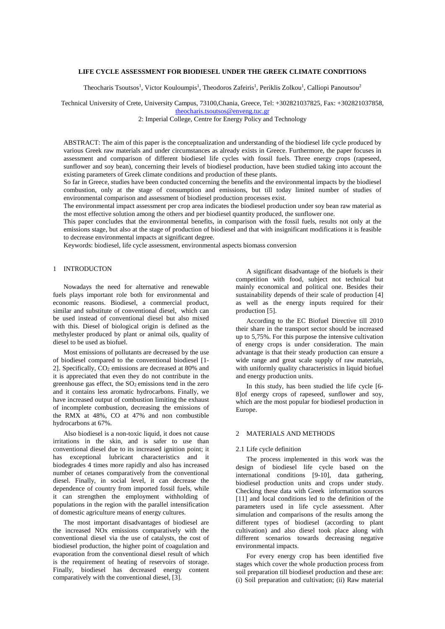# **LIFE CYCLE ASSESSMENT FOR BIODIESEL UNDER THE GREEK CLIMATE CONDITIONS**

Theocharis Tsoutsos<sup>1</sup>, Victor Kouloumpis<sup>1</sup>, Theodoros Zafeiris<sup>1</sup>, Periklis Zolkou<sup>1</sup>, Calliopi Panoutsou<sup>2</sup>

Technical University of Crete, University Campus, 73100,Chania, Greece, Tel: +302821037825, Fax: +302821037858, [theocharis.tsoutsos@enveng.tuc.gr](mailto:theocharis.tsoutsos@enveng.tuc.gr)

2: Imperial College, Centre for Energy Policy and Technology

ABSTRACT: The aim of this paper is the conceptualization and understanding of the biodiesel life cycle produced by various Greek raw materials and under circumstances as already exists in Greece. Furthermore, the paper focuses in assessment and comparison of different biodiesel life cycles with fossil fuels. Three energy crops (rapeseed, sunflower and soy bean), concerning their levels of biodiesel production, have been studied taking into account the existing parameters of Greek climate conditions and production of these plants.

So far in Greece, studies have been conducted concerning the benefits and the environmental impacts by the biodiesel combustion, only at the stage of consumption and emissions, but till today limited number of studies of environmental comparison and assessment of biodiesel production processes exist.

The environmental impact assessment per crop area indicates the biodiesel production under soy bean raw material as the most effective solution among the others and per biodiesel quantity produced, the sunflower one.

This paper concludes that the environmental benefits, in comparison with the fossil fuels, results not only at the emissions stage, but also at the stage of production of biodiesel and that with insignificant modifications it is feasible to decrease environmental impacts at significant degree.

Keywords: biodiesel, life cycle assessment, environmental aspects biomass conversion

# 1 INTRODUCTON

Nowadays the need for alternative and renewable fuels plays important role both for environmental and economic reasons. Biodiesel, a commercial product, similar and substitute of conventional diesel, which can be used instead of conventional diesel but also mixed with this. Diesel of biological origin is defined as the methylester produced by plant or animal oils, quality of diesel to be used as biofuel.

Most emissions of pollutants are decreased by the use of biodiesel compared to the conventional biodiesel [1- 2]. Specifically, CO<sub>2</sub> emissions are decreased at 80% and it is appreciated that even they do not contribute in the greenhouse gas effect, the SO2 emissions tend in the zero and it contains less aromatic hydrocarbons. Finally, we have increased output of combustion limiting the exhaust of incomplete combustion, decreasing the emissions of the RMX at 48%, CO at 47% and non combustible hydrocarbons at 67%.

Also biodiesel is a non-toxic liquid, it does not cause irritations in the skin, and is safer to use than conventional diesel due to its increased ignition point; it has exceptional lubricant characteristics and it biodegrades 4 times more rapidly and also has increased number of cetanes comparatively from the conventional diesel. Finally, in social level, it can decrease the dependence of country from imported fossil fuels, while it can strengthen the employment withholding of populations in the region with the parallel intensification of domestic agriculture means of energy cultures.

The most important disadvantages of biodiesel are the increased NOx emissions comparatively with the conventional diesel via the use of catalysts, the cost of biodiesel production, the higher point of coagulation and evaporation from the conventional diesel result of which is the requirement of heating of reservoirs of storage. Finally, biodiesel has decreased energy content comparatively with the conventional diesel, [3].

A significant disadvantage of the biofuels is their competition with food, subject not technical but mainly economical and political one. Besides their sustainability depends of their scale of production [4] as well as the energy inputs required for their production [5].

According to the EC Biofuel Directive till 2010 their share in the transport sector should be increased up to 5,75%. For this purpose the intensive cultivation of energy crops is under consideration. The main advantage is that their steady production can ensure a wide range and great scale supply of raw materials, with uniformly quality characteristics in liquid biofuel and energy production units.

In this study, has been studied the life cycle [6- 8]of energy crops of rapeseed, sunflower and soy, which are the most popular for biodiesel production in Europe.

#### 2 MATERIALS AND METHODS

## 2.1 Life cycle definition

The process implemented in this work was the design of biodiesel life cycle based on the international conditions [9-10], data gathering, biodiesel production units and crops under study. Checking these data with Greek information sources [11] and local conditions led to the definition of the parameters used in life cycle assessment. After simulation and comparisons of the results among the different types of biodiesel (according to plant cultivation) and also diesel took place along with different scenarios towards decreasing negative environmental impacts.

For every energy crop has been identified five stages which cover the whole production process from soil preparation till biodiesel production and these are: (i) Soil preparation and cultivation; (ii) Raw material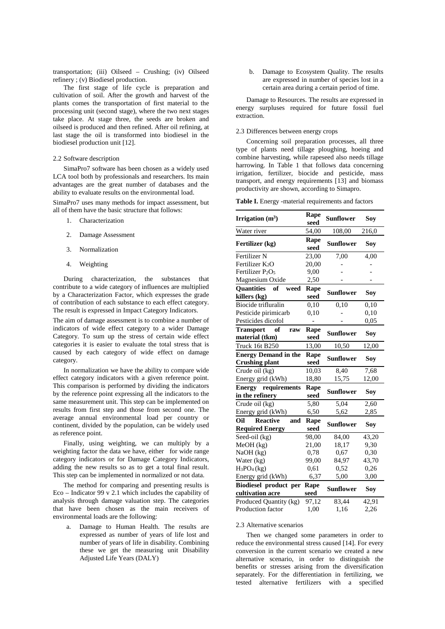transportation; (iii) Oilseed – Crushing; (iv) Oilseed refinery ; (v) Biodiesel production.

The first stage of life cycle is preparation and cultivation of soil. After the growth and harvest of the plants comes the transportation of first material to the processing unit (second stage), where the two next stages take place. At stage three, the seeds are broken and oilseed is produced and then refined. After oil refining, at last stage the oil is transformed into biodiesel in the biodiesel production unit [12].

## 2.2 Software description

SimaPro7 software has been chosen as a widely used LCA tool both by professionals and researchers. Its main advantages are the great number of databases and the ability to evaluate results on the environmental load.

SimaPro7 uses many methods for impact assessment, but all of them have the basic structure that follows:

- 1. Characterization
- 2. Damage Assessment
- 3. Normalization
- 4. Weighting

During characterization, the substances that contribute to a wide category of influences are multiplied by a Characterization Factor, which expresses the grade of contribution of each substance to each effect category. The result is expressed in Impact Category Indicators.

The aim of damage assessment is to combine a number of indicators of wide effect category to a wider Damage Category. To sum up the stress of certain wide effect categories it is easier to evaluate the total stress that is caused by each category of wide effect on damage category.

In normalization we have the ability to compare wide effect category indicators with a given reference point. This comparison is performed by dividing the indicators by the reference point expressing all the indicators to the same measurement unit. This step can be implemented on results from first step and those from second one. The average annual environmental load per country or continent, divided by the population, can be widely used as reference point.

Finally, using weighting, we can multiply by a weighting factor the data we have, either for wide range category indicators or for Damage Category Indicators, adding the new results so as to get a total final result. This step can be implemented in normalized or not data.

The method for comparing and presenting results is Eco – Indicator 99 v 2.1 which includes the capability of analysis through damage valuation step. The categories that have been chosen as the main receivers of environmental loads are the following:

a. Damage to Human Health. The results are expressed as number of years of life lost and number of years of life in disability. Combining these we get the measuring unit Disability Adjusted Life Years (DALY)

b. Damage to Ecosystem Quality. The results are expressed in number of species lost in a certain area during a certain period of time.

Damage to Resources. The results are expressed in energy surpluses required for future fossil fuel extraction.

### 2.3 Differences between energy crops

Concerning soil preparation processes, all three type of plants need tillage ploughing, hoeing and combine harvesting, while rapeseed also needs tillage harrowing. In Table 1 that follows data concerning irrigation, fertilizer, biocide and pesticide, mass transport, and energy requirements [13] and biomass productivity are shown, according to Simapro.

**Table I.** Energy -material requirements and factors

| Irrigation $(m^3)$                                      | Rape<br>seed | <b>Sunflower</b> | Soy   |
|---------------------------------------------------------|--------------|------------------|-------|
| Water river                                             | 54,00        | 108,00           | 216,0 |
| Fertilizer (kg)                                         | Rape<br>seed | <b>Sunflower</b> | Soy   |
| Fertilizer N                                            | 23,00        | 7,00             | 4,00  |
| Fertilizer K <sub>2</sub> O                             | 20,00        |                  |       |
| Fertilizer P <sub>2</sub> O <sub>5</sub>                | 9,00         |                  |       |
| Magnesium Oxide                                         | 2,50         |                  |       |
| <b>Ouantities</b><br>of<br>weed<br>killers (kg)         | Rape<br>seed | <b>Sunflower</b> | Soy   |
| Biocide trifluralin                                     | 0,10         | 0,10             | 0,10  |
| Pesticide pirimicarb                                    | 0,10         |                  | 0,10  |
| Pesticides dicofol                                      |              |                  | 0,05  |
| <b>Transport</b><br>of<br>raw<br>material (tkm)         | Rape<br>seed | <b>Sunflower</b> | Soy   |
| <b>Truck 16t B250</b>                                   | 13,00        | 10,50            | 12,00 |
| <b>Energy Demand in the</b><br><b>Crushing plant</b>    | Rape<br>seed | <b>Sunflower</b> | Soy   |
| Crude oil (kg)                                          | 10,03        | 8,40             | 7,68  |
| Energy grid (kWh)                                       | 18,80        | 15,75            | 12,00 |
| <b>Energy</b> requirements<br>in the refinery           | Rape<br>seed | <b>Sunflower</b> | Soy   |
| Crude oil (kg)                                          | 5,80         | 5,04             | 2,60  |
| Energy grid (kWh)                                       | 6,50         | 5,62             | 2,85  |
| Oil<br><b>Reactive</b><br>and<br><b>Required Energy</b> | Rape<br>seed | <b>Sunflower</b> | Soy   |
| Seed-oil (kg)                                           | 98,00        | 84,00            | 43,20 |
| $MeOH$ (kg)                                             | 21,00        | 18,17            | 9,30  |
| NaOH (kg)                                               | 0,78         | 0,67             | 0,30  |
| Water (kg)                                              | 99,00        | 84,97            | 43,70 |
| $H_3PO_4$ (kg)                                          | 0,61         | 0,52             | 0,26  |
| Energy grid (kWh)                                       | 6,37         | 5,00             | 3,00  |
| Biodiesel product per<br>cultivation acre               | Rape<br>seed | <b>Sunflower</b> | Soy   |
| Produced Quantity (kg)                                  | 97,12        | 83,44            | 42,91 |
| Production factor                                       | 1,00         | 1,16             | 2,26  |

#### 2.3 Alternative scenarios

Then we changed some parameters in order to reduce the environmental stress caused [14]. For every conversion in the current scenario we created a new alternative scenario, in order to distinguish the benefits or stresses arising from the diversification separately. For the differentiation in fertilizing, we tested alternative fertilizers with a specified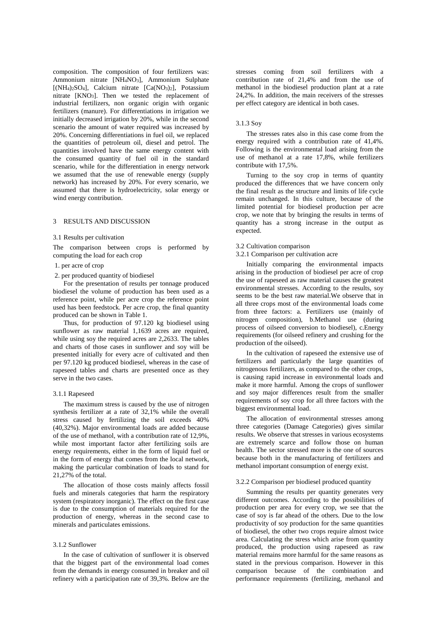composition. The composition of four fertilizers was: Ammonium nitrate [NH4NO3], Ammonium Sulphate [(NH4)2SO4], Calcium nitrate [Ca(NO3)2], Potassium nitrate [KNO3]. Then we tested the replacement of industrial fertilizers, non organic origin with organic fertilizers (manure). For differentiations in irrigation we initially decreased irrigation by 20%, while in the second scenario the amount of water required was increased by 20%. Concerning differentiations in fuel oil, we replaced the quantities of petroleum oil, diesel and petrol. The quantities involved have the same energy content with the consumed quantity of fuel oil in the standard scenario, while for the differentiation in energy network we assumed that the use of renewable energy (supply network) has increased by 20%. For every scenario, we assumed that there is hydroelectricity, solar energy or wind energy contribution.

# 3 RESULTS AND DISCUSSION

#### 3.1 Results per cultivation

The comparison between crops is performed by computing the load for each crop

## 1. per acre of crop

2. per produced quantity of biodiesel

For the presentation of results per tonnage produced biodiesel the volume of production has been used as a reference point, while per acre crop the reference point used has been feedstock. Per acre crop, the final quantity produced can be shown in Table 1.

Thus, for production of 97.120 kg biodiesel using sunflower as raw material 1,1639 acres are required, while using soy the required acres are 2,2633. The tables and charts of those cases in sunflower and soy will be presented initially for every acre of cultivated and then per 97.120 kg produced biodiesel, whereas in the case of rapeseed tables and charts are presented once as they serve in the two cases.

#### 3.1.1 Rapeseed

The maximum stress is caused by the use of nitrogen synthesis fertilizer at a rate of 32,1% while the overall stress caused by fertilizing the soil exceeds 40% (40,32%). Major environmental loads are added because of the use of methanol, with a contribution rate of 12,9%, while most important factor after fertilizing soils are energy requirements, either in the form of liquid fuel or in the form of energy that comes from the local network, making the particular combination of loads to stand for 21,27% of the total.

The allocation of those costs mainly affects fossil fuels and minerals categories that harm the respiratory system (respiratory inorganic). The effect on the first case is due to the consumption of materials required for the production of energy, whereas in the second case to minerals and particulates emissions.

## 3.1.2 Sunflower

In the case of cultivation of sunflower it is observed that the biggest part of the environmental load comes from the demands in energy consumed in breaker and oil refinery with a participation rate of 39,3%. Below are the

stresses coming from soil fertilizers with a contribution rate of 21,4% and from the use of methanol in the biodiesel production plant at a rate 24,2%. In addition, the main receivers of the stresses per effect category are identical in both cases.

#### 3.1.3 Soy

The stresses rates also in this case come from the energy required with a contribution rate of 41,4%. Following is the environmental load arising from the use of methanol at a rate 17,8%, while fertilizers contribute with 17,5%.

Turning to the soy crop in terms of quantity produced the differences that we have concern only the final result as the structure and limits of life cycle remain unchanged. In this culture, because of the limited potential for biodiesel production per acre crop, we note that by bringing the results in terms of quantity has a strong increase in the output as expected.

#### 3.2 Cultivation comparison

#### 3.2.1 Comparison per cultivation acre

Initially comparing the environmental impacts arising in the production of biodiesel per acre of crop the use of rapeseed as raw material causes the greatest environmental stresses. According to the results, soy seems to be the best raw material.We observe that in all three crops most of the environmental loads come from three factors: a. Fertilizers use (mainly of nitrogen composition), b.Methanol use (during process of oilseed conversion to biodiesel), c.Energy requirements (for oilseed refinery and crushing for the production of the oilseed).

In the cultivation of rapeseed the extensive use of fertilizers and particularly the large quantities of nitrogenous fertilizers, as compared to the other crops, is causing rapid increase in environmental loads and make it more harmful. Among the crops of sunflower and soy major differences result from the smaller requirements of soy crop for all three factors with the biggest environmental load.

The allocation of environmental stresses among three categories (Damage Categories) gives similar results. We observe that stresses in various ecosystems are extremely scarce and follow those on human health. The sector stressed more is the one of sources because both in the manufacturing of fertilizers and methanol important consumption of energy exist.

#### 3.2.2 Comparison per biodiesel produced quantity

Summing the results per quantity generates very different outcomes. According to the possibilities of production per area for every crop, we see that the case of soy is far ahead of the others. Due to the low productivity of soy production for the same quantities of biodiesel, the other two crops require almost twice area. Calculating the stress which arise from quantity produced, the production using rapeseed as raw material remains more harmful for the same reasons as stated in the previous comparison. However in this comparison because of the combination and performance requirements (fertilizing, methanol and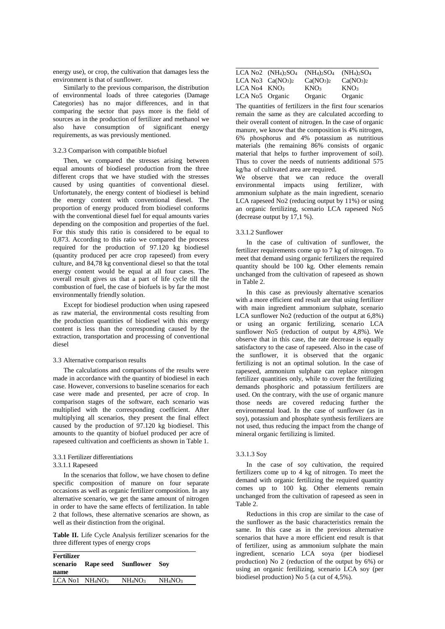energy use), or crop, the cultivation that damages less the environment is that of sunflower.

Similarly to the previous comparison, the distribution of environmental loads of three categories (Damage Categories) has no major differences, and in that comparing the sector that pays more is the field of sources as in the production of fertilizer and methanol we also have consumption of significant energy requirements, as was previously mentioned.

## 3.2.3 Comparison with compatible biofuel

Then, we compared the stresses arising between equal amounts of biodiesel production from the three different crops that we have studied with the stresses caused by using quantities of conventional diesel. Unfortunately, the energy content of biodiesel is behind the energy content with conventional diesel. The proportion of energy produced from biodiesel conforms with the conventional diesel fuel for equal amounts varies depending on the composition and properties of the fuel. For this study this ratio is considered to be equal to 0,873. According to this ratio we compared the process required for the production of 97.120 kg biodiesel (quantity produced per acre crop rapeseed) from every culture, and 84,78 kg conventional diesel so that the total energy content would be equal at all four cases. The overall result gives us that a part of life cycle till the combustion of fuel, the case of biofuels is by far the most environmentally friendly solution.

Except for biodiesel production when using rapeseed as raw material, the environmental costs resulting from the production quantities of biodiesel with this energy content is less than the corresponding caused by the extraction, transportation and processing of conventional diesel

#### 3.3 Alternative comparison results

The calculations and comparisons of the results were made in accordance with the quantity of biodiesel in each case. However, conversions to baseline scenarios for each case were made and presented, per acre of crop. In comparison stages of the software, each scenario was multiplied with the corresponding coefficient. After multiplying all scenarios, they present the final effect caused by the production of 97.120 kg biodiesel. This amounts to the quantity of biofuel produced per acre of rapeseed cultivation and coefficients as shown in Table 1.

# 3.3.1 Fertilizer differentiations

## 3.3.1.1 Rapeseed

In the scenarios that follow, we have chosen to define specific composition of manure on four separate occasions as well as organic fertilizer composition. In any alternative scenario, we get the same amount of nitrogen in order to have the same effects of fertilization. In table 2 that follows, these alternative scenarios are shown, as well as their distinction from the original.

**Table II.** Life Cycle Analysis fertilizer scenarios for the three different types of energy crops

| Fertilizer<br>name                      | scenario Rape seed Sunflower Soy |                                 |  |
|-----------------------------------------|----------------------------------|---------------------------------|--|
| LCA No1 NH <sub>4</sub> NO <sub>3</sub> | NH <sub>4</sub> NO <sub>3</sub>  | NH <sub>4</sub> NO <sub>3</sub> |  |
|                                         |                                  |                                 |  |

|                 | LCA $No2$ $(NH_4)_2SO_4$ | $(NH_4)_2SO_4$                    | $(NH_4)_2SO_4$                    |  |
|-----------------|--------------------------|-----------------------------------|-----------------------------------|--|
|                 | LCA No3 $Ca(NO3)2$       | Ca(NO <sub>3</sub> ) <sub>2</sub> | Ca(NO <sub>3</sub> ) <sub>2</sub> |  |
| LCA No4 KNO3    |                          | KNO <sub>3</sub>                  | KNO <sub>3</sub>                  |  |
| LCA No5 Organic |                          | Organic                           | Organic                           |  |

The quantities of fertilizers in the first four scenarios remain the same as they are calculated according to their overall content of nitrogen. In the case of organic manure, we know that the composition is 4% nitrogen, 6% phosphorus and 4% potassium as nutritious materials (the remaining 86% consists of organic material that helps to further improvement of soil). Thus to cover the needs of nutrients additional 575 kg/ha of cultivated area are required.

We observe that we can reduce the overall environmental impacts using fertilizer, with ammonium sulphate as the main ingredient, scenario LCA rapeseed No2 (reducing output by 11%) or using an organic fertilizing, scenario LCA rapeseed No5 (decrease output by 17,1 %).

#### 3.3.1.2 Sunflower

In the case of cultivation of sunflower, the fertilizer requirements come up to 7 kg of nitrogen. To meet that demand using organic fertilizers the required quantity should be 100 kg. Other elements remain unchanged from the cultivation of rapeseed as shown in Table 2.

In this case as previously alternative scenarios with a more efficient end result are that using fertilizer with main ingredient ammonium sulphate, scenario LCA sunflower No2 (reduction of the output at 6,8%) or using an organic fertilizing, scenario LCA sunflower No5 (reduction of output by 4,8%). We observe that in this case, the rate decrease is equally satisfactory to the case of rapeseed. Also in the case of the sunflower, it is observed that the organic fertilizing is not an optimal solution. In the case of rapeseed, ammonium sulphate can replace nitrogen fertilizer quantities only, while to cover the fertilizing demands phosphoric and potassium fertilizers are used. On the contrary, with the use of organic manure those needs are covered reducing further the environmental load. In the case of sunflower (as in soy), potassium and phosphate synthesis fertilizers are not used, thus reducing the impact from the change of mineral organic fertilizing is limited.

#### 3.3.1.3 Soy

In the case of soy cultivation, the required fertilizers come up to 4 kg of nitrogen. To meet the demand with organic fertilizing the required quantity comes up to 100 kg. Other elements remain unchanged from the cultivation of rapeseed as seen in Table 2.

Reductions in this crop are similar to the case of the sunflower as the basic characteristics remain the same. In this case as in the previous alternative scenarios that have a more efficient end result is that of fertilizer, using as ammonium sulphate the main ingredient, scenario LCA soya (per biodiesel production) No 2 (reduction of the output by 6%) or using an organic fertilizing, scenario LCA soy (per biodiesel production) No 5 (a cut of 4,5%).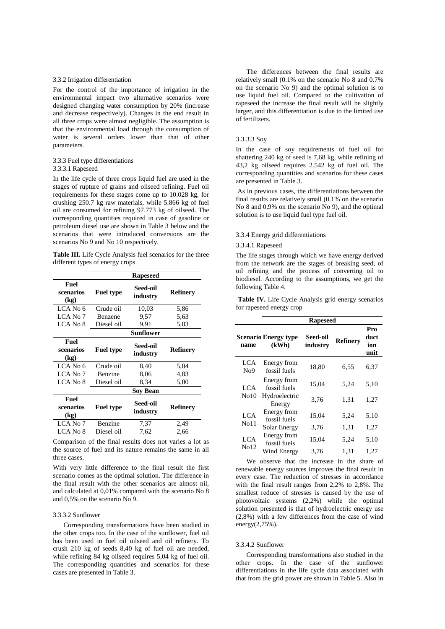## 3.3.2 Irrigation differentiation

For the control of the importance of irrigation in the environmental impact two alternative scenarios were designed changing water consumption by 20% (increase and decrease respectively). Changes in the end result in all three crops were almost negligible. The assumption is that the environmental load through the consumption of water is several orders lower than that of other parameters.

# 3.3.3 Fuel type differentiations

## 3.3.3.1 Rapeseed

In the life cycle of three crops liquid fuel are used in the stages of rupture of grains and oilseed refining. Fuel oil requirements for these stages come up to 10.028 kg, for crushing 250.7 kg raw materials, while 5.866 kg of fuel oil are consumed for refining 97.773 kg of oilseed. The corresponding quantities required in case of gasoline or petroleum diesel use are shown in Table 3 below and the scenarios that were introduced conversions are the scenarios No 9 and No 10 respectively.

**Table III.** Life Cycle Analysis fuel scenarios for the three different types of energy crops

|                           |                  | <b>Rapeseed</b>      |                 |
|---------------------------|------------------|----------------------|-----------------|
| Fuel<br>scenarios<br>(kg) | <b>Fuel type</b> | Seed-oil<br>industry | <b>Refinery</b> |
| LCA No 6                  | Crude oil        | 10,03                | 5,86            |
| LCA No 7                  | <b>Benzene</b>   | 9,57                 | 5.63            |
| LCA No 8                  | Diesel oil       | 9.91                 | 5,83            |
|                           |                  | Sunflower            |                 |
| Fuel<br>scenarios<br>(kg) | <b>Fuel type</b> | Seed-oil<br>industry | Refinery        |
| LCA No 6                  | Crude oil        | 8,40                 | 5,04            |
| LCA No 7                  | Benzine          | 8,06                 | 4,83            |
| LCA No 8                  | Diesel oil       | 8,34                 | 5,00            |
|                           |                  | Soy Bean             |                 |
| Fuel<br>scenarios<br>(kg) | <b>Fuel type</b> | Seed-oil<br>industry | Refinery        |
| LCA No 7                  | Benzine          | 7,37                 | 2,49            |
|                           |                  |                      |                 |

Comparison of the final results does not varies a lot as the source of fuel and its nature remains the same in all three cases.

With very little difference to the final result the first scenario comes as the optimal solution. The difference in the final result with the other scenarios are almost nil, and calculated at 0,01% compared with the scenario No 8 and 0,5% on the scenario No 9.

#### 3.3.3.2 Sunflower

Corresponding transformations have been studied in the other crops too. In the case of the sunflower, fuel oil has been used in fuel oil oilseed and oil refinery. To crush 210 kg of seeds 8,40 kg of fuel oil are needed, while refining 84 kg oilseed requires 5,04 kg of fuel oil. The corresponding quantities and scenarios for these cases are presented in Table 3.

The differences between the final results are relatively small (0.1% on the scenario No 8 and 0.7% on the scenario No 9) and the optimal solution is to use liquid fuel oil. Compared to the cultivation of rapeseed the increase the final result will be slightly larger, and this differentiation is due to the limited use of fertilizers.

#### 3.3.3.3 Soy

In the case of soy requirements of fuel oil for shattering 240 kg of seed is 7,68 kg, while refining of 43,2 kg oilseed requires 2.542 kg of fuel oil. The corresponding quantities and scenarios for these cases are presented in Table 3.

As in previous cases, the differentiations between the final results are relatively small (0.1% on the scenario No 8 and 0,9% on the scenario No 9), and the optimal solution is to use liquid fuel type fuel oil.

# 3.3.4 Energy grid differentiations

#### 3.3.4.1 Rapeseed

The life stages through which we have energy derived from the network are the stages of breaking seed, of oil refining and the process of converting oil to biodiesel. According to the assumptions, we get the following Table 4.

Table IV. Life Cycle Analysis grid energy scenarios for rapeseed energy crop

|                  | <b>Rapeseed</b>                      |                      |                 |                            |
|------------------|--------------------------------------|----------------------|-----------------|----------------------------|
| name             | <b>Scenario Energy type</b><br>(kWh) | Seed-oil<br>industry | <b>Refinery</b> | Pro<br>duct<br>ion<br>unit |
| LCA<br>No9       | Energy from<br>fossil fuels          | 18,80                | 6,55            | 6,37                       |
| LCA.             | Energy from<br>fossil fuels          | 15,04                | 5,24            | 5,10                       |
| No10             | Hydroelectric<br>Energy              | 3,76                 | 1,31            | 1,27                       |
| LCA              | Energy from<br>fossil fuels          | 15,04                | 5,24            | 5,10                       |
| N <sub>011</sub> | Solar Energy                         | 3,76                 | 1,31            | 1,27                       |
| LCA              | Energy from<br>fossil fuels          | 15,04                | 5,24            | 5,10                       |
| No12             | Wind Energy                          | 3.76                 | 1,31            | 1,27                       |

We observe that the increase in the share of renewable energy sources improves the final result in every case. The reduction of stresses in accordance with the final result ranges from 2,2% to 2,8%. The smallest reduce of stresses is caused by the use of photovoltaic systems (2,2%) while the optimal solution presented is that of hydroelectric energy use (2,8%) with a few differences from the case of wind energy $(2,75\%)$ .

#### 3.3.4.2 Sunflower

Corresponding transformations also studied in the other crops. In the case of the sunflower differentiations in the life cycle data associated with that from the grid power are shown in Table 5. Also in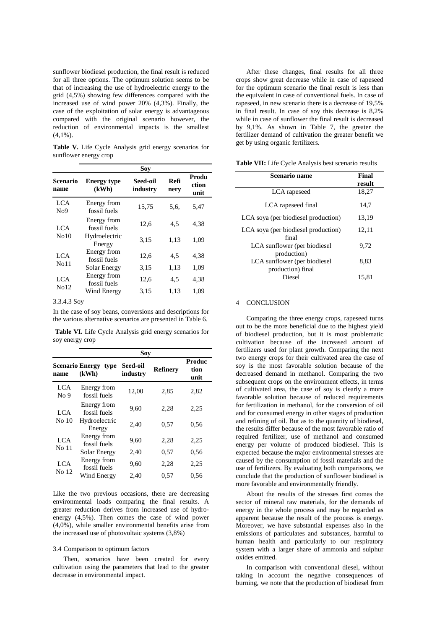sunflower biodiesel production, the final result is reduced for all three options. The optimum solution seems to be that of increasing the use of hydroelectric energy to the grid (4,5%) showing few differences compared with the increased use of wind power 20% (4,3%). Finally, the case of the exploitation of solar energy is advantageous compared with the original scenario however, the reduction of environmental impacts is the smallest  $(4,1\%)$ .

**Table V.** Life Cycle Analysis grid energy scenarios for sunflower energy crop

|                             | Soy                  |              |                        |
|-----------------------------|----------------------|--------------|------------------------|
| <b>Energy type</b><br>(kWh) | Seed-oil<br>industry | Refi<br>nerv | Produ<br>ction<br>unit |
| Energy from<br>fossil fuels | 15,75                | 5,6,         | 5,47                   |
| Energy from<br>fossil fuels | 12,6                 | 4,5          | 4,38                   |
| Hydroelectric<br>Energy     | 3,15                 | 1,13         | 1,09                   |
| Energy from<br>fossil fuels | 12,6                 | 4,5          | 4.38                   |
| Solar Energy                | 3,15                 | 1,13         | 1,09                   |
| Energy from<br>fossil fuels | 12,6                 | 4,5          | 4,38                   |
| Wind Energy                 | 3,15                 | 1,13         | 1,09                   |
|                             |                      |              |                        |

## 3.3.4.3 Soy

In the case of soy beans, conversions and descriptions for the various alternative scenarios are presented in Table 6.

**Table VI.** Life Cycle Analysis grid energy scenarios for soy energy crop

| Sov                           |                                         |                             |                 |                               |
|-------------------------------|-----------------------------------------|-----------------------------|-----------------|-------------------------------|
| name                          | <b>Scenario Energy</b><br>type<br>(kWh) | <b>Seed-oil</b><br>industry | <b>Refinery</b> | <b>Produc</b><br>tion<br>unit |
| <b>LCA</b><br>No <sub>9</sub> | Energy from<br>fossil fuels             | 12,00                       | 2,85            | 2,82                          |
| LCA                           | Energy from<br>fossil fuels             | 9.60                        | 2,28            | 2,25                          |
| No 10                         | Hydroelectric<br>Energy                 | 2.40                        | 0.57            | 0.56                          |
| <b>LCA</b>                    | Energy from<br>fossil fuels             | 9,60                        | 2,28            | 2,25                          |
| No 11                         | Solar Energy                            | 2,40                        | 0.57            | 0.56                          |
| LCA<br>No 12                  | Energy from<br>fossil fuels             | 9.60                        | 2,28            | 2,25                          |
|                               | Wind Energy                             | 2.40                        | 0.57            | 0.56                          |

Like the two previous occasions, there are decreasing environmental loads comparing the final results. A greater reduction derives from increased use of hydroenergy (4,5%). Then comes the case of wind power (4,0%), while smaller environmental benefits arise from the increased use of photovoltaic systems (3,8%)

#### 3.4 Comparison to optimum factors

Then, scenarios have been created for every cultivation using the parameters that lead to the greater decrease in environmental impact.

After these changes, final results for all three crops show great decrease while in case of rapeseed for the optimum scenario the final result is less than the equivalent in case of conventional fuels. In case of rapeseed, in new scenario there is a decrease of 19,5% in final result. In case of soy this decrease is 8,2% while in case of sunflower the final result is decreased by 9,1%. As shown in Table 7, the greater the fertilizer demand of cultivation the greater benefit we get by using organic fertilizers.

| Scenario name                                     | Final  |
|---------------------------------------------------|--------|
|                                                   | result |
| LCA rapeseed                                      | 18,27  |
| LCA rapeseed final                                | 14.7   |
| LCA soya (per biodiesel production)               | 13,19  |
| LCA soya (per biodiesel production)<br>final      | 12,11  |
| LCA sunflower (per biodiesel<br>production)       | 9.72   |
| LCA sunflower (per biodiesel<br>production) final | 8,83   |
| Diesel                                            | 15.81  |

#### 4 CONCLUSION

Comparing the three energy crops, rapeseed turns out to be the more beneficial due to the highest yield of biodiesel production, but it is most problematic cultivation because of the increased amount of fertilizers used for plant growth. Comparing the next two energy crops for their cultivated area the case of soy is the most favorable solution because of the decreased demand in methanol. Comparing the two subsequent crops on the environment effects, in terms of cultivated area, the case of soy is clearly a more favorable solution because of reduced requirements for fertilization in methanol, for the conversion of oil and for consumed energy in other stages of production and refining of oil. But as to the quantity of biodiesel, the results differ because of the most favorable ratio of required fertilizer, use of methanol and consumed energy per volume of produced biodiesel. This is expected because the major environmental stresses are caused by the consumption of fossil materials and the use of fertilizers. By evaluating both comparisons, we conclude that the production of sunflower biodiesel is more favorable and environmentally friendly.

About the results of the stresses first comes the sector of mineral raw materials, for the demands of energy in the whole process and may be regarded as apparent because the result of the process is energy. Moreover, we have substantial expenses also in the emissions of particulates and substances, harmful to human health and particularly to our respiratory system with a larger share of ammonia and sulphur oxides emitted.

In comparison with conventional diesel, without taking in account the negative consequences of burning, we note that the production of biodiesel from